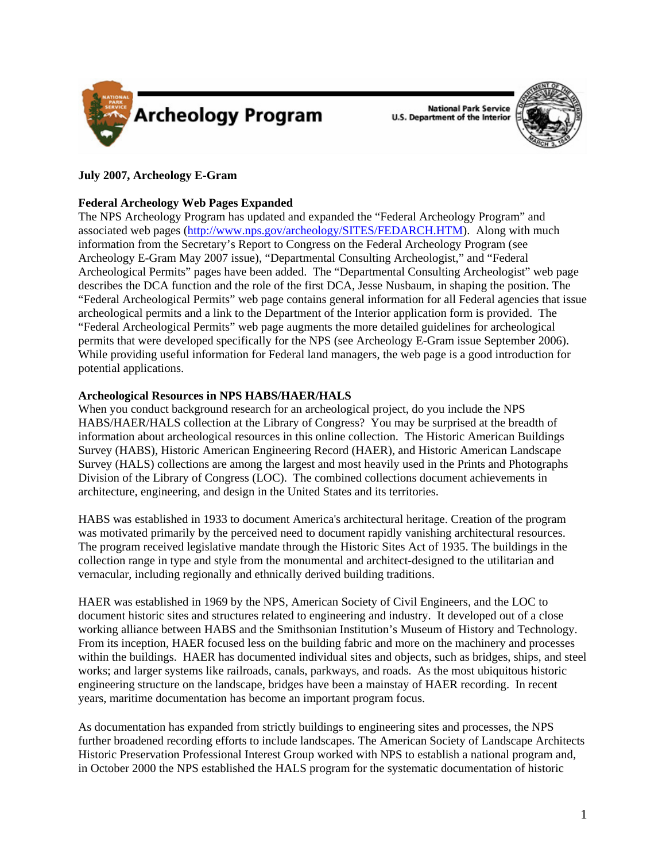

**National Park Service U.S. Department of the Interior** 



# **July 2007, Archeology E-Gram**

# **Federal Archeology Web Pages Expanded**

The NPS Archeology Program has updated and expanded the "Federal Archeology Program" and associated web pages [\(http://www.nps.gov/archeology/SITES/FEDARCH.HTM\)](http://www.nps.gov/archeology/SITES/FEDARCH.HTM). Along with much information from the Secretary's Report to Congress on the Federal Archeology Program (see Archeology E-Gram May 2007 issue), "Departmental Consulting Archeologist," and "Federal Archeological Permits" pages have been added. The "Departmental Consulting Archeologist" web page describes the DCA function and the role of the first DCA, Jesse Nusbaum, in shaping the position. The "Federal Archeological Permits" web page contains general information for all Federal agencies that issue archeological permits and a link to the Department of the Interior application form is provided. The "Federal Archeological Permits" web page augments the more detailed guidelines for archeological permits that were developed specifically for the NPS (see Archeology E-Gram issue September 2006). While providing useful information for Federal land managers, the web page is a good introduction for potential applications.

## **Archeological Resources in NPS HABS/HAER/HALS**

When you conduct background research for an archeological project, do you include the NPS HABS/HAER/HALS collection at the Library of Congress? You may be surprised at the breadth of information about archeological resources in this online collection. The Historic American Buildings Survey (HABS), Historic American Engineering Record (HAER), and Historic American Landscape Survey (HALS) collections are among the largest and most heavily used in the Prints and Photographs Division of the Library of Congress (LOC). The combined collections document achievements in architecture, engineering, and design in the United States and its territories.

HABS was established in 1933 to document America's architectural heritage. Creation of the program was motivated primarily by the perceived need to document rapidly vanishing architectural resources. The program received legislative mandate through the Historic Sites Act of 1935. The buildings in the collection range in type and style from the monumental and architect-designed to the utilitarian and vernacular, including regionally and ethnically derived building traditions.

HAER was established in 1969 by the NPS, American Society of Civil Engineers, and the LOC to document historic sites and structures related to engineering and industry. It developed out of a close working alliance between HABS and the Smithsonian Institution's Museum of History and Technology. From its inception, HAER focused less on the building fabric and more on the machinery and processes within the buildings. HAER has documented individual sites and objects, such as bridges, ships, and steel works; and larger systems like railroads, canals, parkways, and roads. As the most ubiquitous historic engineering structure on the landscape, bridges have been a mainstay of HAER recording. In recent years, maritime documentation has become an important program focus.

As documentation has expanded from strictly buildings to engineering sites and processes, the NPS further broadened recording efforts to include landscapes. The American Society of Landscape Architects Historic Preservation Professional Interest Group worked with NPS to establish a national program and, in October 2000 the NPS established the HALS program for the systematic documentation of historic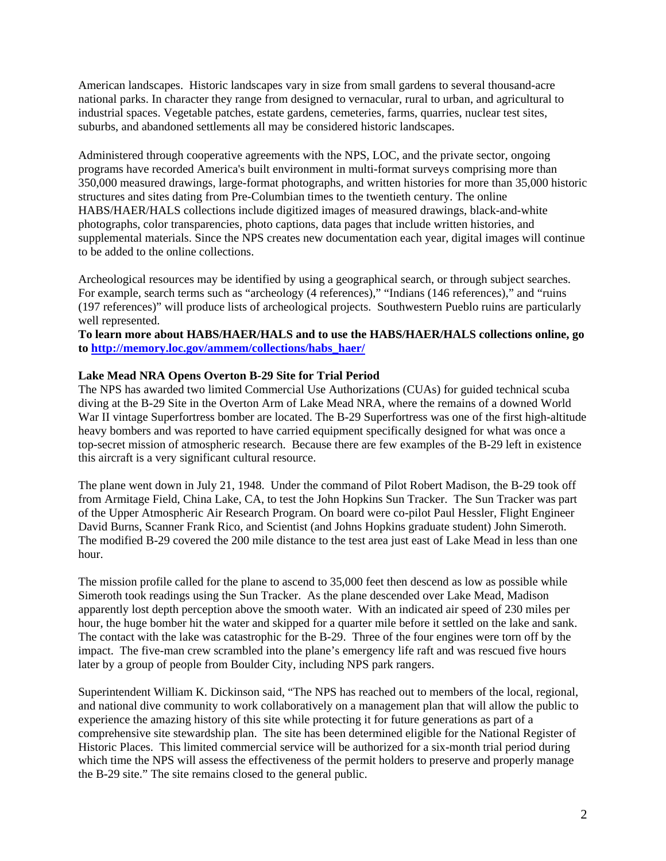American landscapes. Historic landscapes vary in size from small gardens to several thousand-acre national parks. In character they range from designed to vernacular, rural to urban, and agricultural to industrial spaces. Vegetable patches, estate gardens, cemeteries, farms, quarries, nuclear test sites, suburbs, and abandoned settlements all may be considered historic landscapes.

Administered through cooperative agreements with the NPS, LOC, and the private sector, ongoing programs have recorded America's built environment in multi-format surveys comprising more than 350,000 measured drawings, large-format photographs, and written histories for more than 35,000 historic structures and sites dating from Pre-Columbian times to the twentieth century. The online HABS/HAER/HALS collections include digitized images of measured drawings, black-and-white photographs, color transparencies, photo captions, data pages that include written histories, and supplemental materials. Since the NPS creates new documentation each year, digital images will continue to be added to the online collections.

Archeological resources may be identified by using a geographical search, or through subject searches. For example, search terms such as "archeology (4 references)," "Indians (146 references)," and "ruins (197 references)" will produce lists of archeological projects. Southwestern Pueblo ruins are particularly well represented.

**To learn more about HABS/HAER/HALS and to use the HABS/HAER/HALS collections online, go to [http://memory.loc.gov/ammem/collections/habs\\_haer/](http://memory.loc.gov/ammem/collections/habs_haer/)**

#### **Lake Mead NRA Opens Overton B-29 Site for Trial Period**

The NPS has awarded two limited Commercial Use Authorizations (CUAs) for guided technical scuba diving at the B-29 Site in the Overton Arm of Lake Mead NRA, where the remains of a downed World War II vintage Superfortress bomber are located. The B-29 Superfortress was one of the first high-altitude heavy bombers and was reported to have carried equipment specifically designed for what was once a top-secret mission of atmospheric research. Because there are few examples of the B-29 left in existence this aircraft is a very significant cultural resource.

The plane went down in July 21, 1948. Under the command of Pilot Robert Madison, the B-29 took off from Armitage Field, China Lake, CA, to test the John Hopkins Sun Tracker. The Sun Tracker was part of the Upper Atmospheric Air Research Program. On board were co-pilot Paul Hessler, Flight Engineer David Burns, Scanner Frank Rico, and Scientist (and Johns Hopkins graduate student) John Simeroth. The modified B-29 covered the 200 mile distance to the test area just east of Lake Mead in less than one hour.

The mission profile called for the plane to ascend to 35,000 feet then descend as low as possible while Simeroth took readings using the Sun Tracker. As the plane descended over Lake Mead, Madison apparently lost depth perception above the smooth water. With an indicated air speed of 230 miles per hour, the huge bomber hit the water and skipped for a quarter mile before it settled on the lake and sank. The contact with the lake was catastrophic for the B-29. Three of the four engines were torn off by the impact. The five-man crew scrambled into the plane's emergency life raft and was rescued five hours later by a group of people from Boulder City, including NPS park rangers.

Superintendent William K. Dickinson said, "The NPS has reached out to members of the local, regional, and national dive community to work collaboratively on a management plan that will allow the public to experience the amazing history of this site while protecting it for future generations as part of a comprehensive site stewardship plan. The site has been determined eligible for the National Register of Historic Places. This limited commercial service will be authorized for a six-month trial period during which time the NPS will assess the effectiveness of the permit holders to preserve and properly manage the B-29 site." The site remains closed to the general public.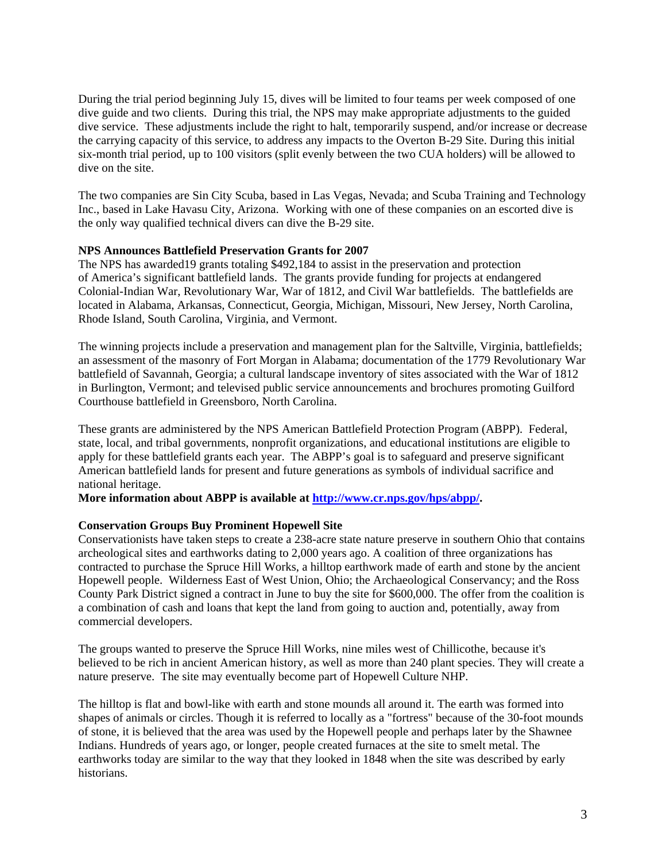During the trial period beginning July 15, dives will be limited to four teams per week composed of one dive guide and two clients. During this trial, the NPS may make appropriate adjustments to the guided dive service. These adjustments include the right to halt, temporarily suspend, and/or increase or decrease the carrying capacity of this service, to address any impacts to the Overton B-29 Site. During this initial six-month trial period, up to 100 visitors (split evenly between the two CUA holders) will be allowed to dive on the site.

The two companies are Sin City Scuba, based in Las Vegas, Nevada; and Scuba Training and Technology Inc., based in Lake Havasu City, Arizona. Working with one of these companies on an escorted dive is the only way qualified technical divers can dive the B-29 site.

## **NPS Announces Battlefield Preservation Grants for 2007**

The NPS has awarded19 grants totaling \$492,184 to assist in the preservation and protection of America's significant battlefield lands. The grants provide funding for projects at endangered Colonial-Indian War, Revolutionary War, War of 1812, and Civil War battlefields. The battlefields are located in Alabama, Arkansas, Connecticut, Georgia, Michigan, Missouri, New Jersey, North Carolina, Rhode Island, South Carolina, Virginia, and Vermont.

The winning projects include a preservation and management plan for the Saltville, Virginia, battlefields; an assessment of the masonry of Fort Morgan in Alabama; documentation of the 1779 Revolutionary War battlefield of Savannah, Georgia; a cultural landscape inventory of sites associated with the War of 1812 in Burlington, Vermont; and televised public service announcements and brochures promoting Guilford Courthouse battlefield in Greensboro, North Carolina.

These grants are administered by the NPS American Battlefield Protection Program (ABPP). Federal, state, local, and tribal governments, nonprofit organizations, and educational institutions are eligible to apply for these battlefield grants each year. The ABPP's goal is to safeguard and preserve significant American battlefield lands for present and future generations as symbols of individual sacrifice and national heritage.

**More information about ABPP is available at<http://www.cr.nps.gov/hps/abpp/>.** 

## **Conservation Groups Buy Prominent Hopewell Site**

Conservationists have taken steps to create a 238-acre state nature preserve in southern Ohio that contains archeological sites and earthworks dating to 2,000 years ago. A coalition of three organizations has contracted to purchase the Spruce Hill Works, a hilltop earthwork made of earth and stone by the ancient Hopewell people. Wilderness East of West Union, Ohio; the Archaeological Conservancy; and the Ross County Park District signed a contract in June to buy the site for \$600,000. The offer from the coalition is a combination of cash and loans that kept the land from going to auction and, potentially, away from commercial developers.

The groups wanted to preserve the Spruce Hill Works, nine miles west of Chillicothe, because it's believed to be rich in ancient American history, as well as more than 240 plant species. They will create a nature preserve. The site may eventually become part of Hopewell Culture NHP.

The hilltop is flat and bowl-like with earth and stone mounds all around it. The earth was formed into shapes of animals or circles. Though it is referred to locally as a "fortress" because of the 30-foot mounds of stone, it is believed that the area was used by the Hopewell people and perhaps later by the Shawnee Indians. Hundreds of years ago, or longer, people created furnaces at the site to smelt metal. The earthworks today are similar to the way that they looked in 1848 when the site was described by early historians.